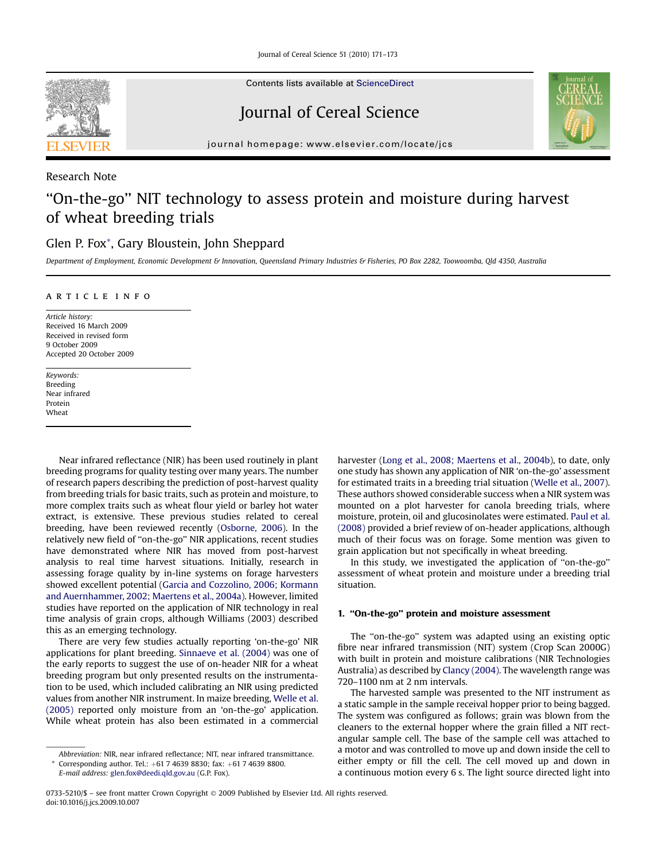Journal of Cereal Science 51 (2010) 171–173



Contents lists available at [ScienceDirect](www.sciencedirect.com/science/journal/07335210)

# Journal of Cereal Science



journal homepage: [www.elsevier.com/locate/jcs](http://www.elsevier.com/locate/jcs)

### Research Note

## ''On-the-go'' NIT technology to assess protein and moisture during harvest of wheat breeding trials

### Glen P. Fox\*, Gary Bloustein, John Sheppard

Department of Employment, Economic Development & Innovation, Queensland Primary Industries & Fisheries, PO Box 2282, Toowoomba, Qld 4350, Australia

#### article info

Article history: Received 16 March 2009 Received in revised form 9 October 2009 Accepted 20 October 2009

Keywords: Breeding Near infrared Protein Wheat

Near infrared reflectance (NIR) has been used routinely in plant breeding programs for quality testing over many years. The number of research papers describing the prediction of post-harvest quality from breeding trials for basic traits, such as protein and moisture, to more complex traits such as wheat flour yield or barley hot water extract, is extensive. These previous studies related to cereal breeding, have been reviewed recently [\(Osborne, 2006](#page-2-0)). In the relatively new field of ''on-the-go'' NIR applications, recent studies have demonstrated where NIR has moved from post-harvest analysis to real time harvest situations. Initially, research in assessing forage quality by in-line systems on forage harvesters showed excellent potential ([Garcia and Cozzolino, 2006; Kormann](#page-2-0) [and Auernhammer, 2002; Maertens et al., 2004a\)](#page-2-0). However, limited studies have reported on the application of NIR technology in real time analysis of grain crops, although Williams (2003) described this as an emerging technology.

There are very few studies actually reporting 'on-the-go' NIR applications for plant breeding. [Sinnaeve et al. \(2004\)](#page-2-0) was one of the early reports to suggest the use of on-header NIR for a wheat breeding program but only presented results on the instrumentation to be used, which included calibrating an NIR using predicted values from another NIR instrument. In maize breeding, [Welle et al.](#page-2-0) [\(2005\)](#page-2-0) reported only moisture from an 'on-the-go' application. While wheat protein has also been estimated in a commercial

harvester ([Long et al., 2008; Maertens et al., 2004b](#page-2-0)), to date, only one study has shown any application of NIR 'on-the-go' assessment for estimated traits in a breeding trial situation ([Welle et al., 2007\)](#page-2-0). These authors showed considerable success when a NIR system was mounted on a plot harvester for canola breeding trials, where moisture, protein, oil and glucosinolates were estimated. [Paul et al.](#page-2-0) [\(2008\)](#page-2-0) provided a brief review of on-header applications, although much of their focus was on forage. Some mention was given to grain application but not specifically in wheat breeding.

In this study, we investigated the application of ''on-the-go'' assessment of wheat protein and moisture under a breeding trial situation.

#### 1. ''On-the-go'' protein and moisture assessment

The "on-the-go" system was adapted using an existing optic fibre near infrared transmission (NIT) system (Crop Scan 2000G) with built in protein and moisture calibrations (NIR Technologies Australia) as described by [Clancy \(2004\)](#page-2-0). The wavelength range was 720–1100 nm at 2 nm intervals.

The harvested sample was presented to the NIT instrument as a static sample in the sample receival hopper prior to being bagged. The system was configured as follows; grain was blown from the cleaners to the external hopper where the grain filled a NIT rectangular sample cell. The base of the sample cell was attached to a motor and was controlled to move up and down inside the cell to either empty or fill the cell. The cell moved up and down in a continuous motion every 6 s. The light source directed light into

Abbreviation: NIR, near infrared reflectance; NIT, near infrared transmittance.

Corresponding author. Tel.:  $+61$  7 4639 8830; fax:  $+61$  7 4639 8800.

E-mail address: [glen.fox@deedi.qld.gov.au](mailto:glen.fox@deedi.qld.gov.au) (G.P. Fox).

<sup>0733-5210/\$ –</sup> see front matter Crown Copyright © 2009 Published by Elsevier Ltd. All rights reserved. doi:10.1016/j.jcs.2009.10.007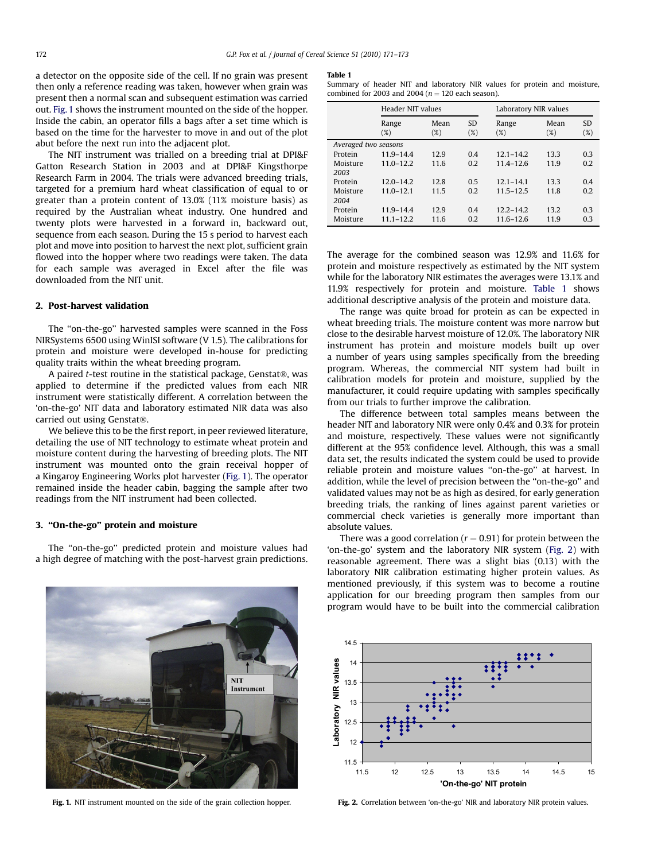<span id="page-1-0"></span>a detector on the opposite side of the cell. If no grain was present then only a reference reading was taken, however when grain was present then a normal scan and subsequent estimation was carried out. Fig. 1 shows the instrument mounted on the side of the hopper. Inside the cabin, an operator fills a bags after a set time which is based on the time for the harvester to move in and out of the plot abut before the next run into the adjacent plot.

The NIT instrument was trialled on a breeding trial at DPI&F Gatton Research Station in 2003 and at DPI&F Kingsthorpe Research Farm in 2004. The trials were advanced breeding trials, targeted for a premium hard wheat classification of equal to or greater than a protein content of 13.0% (11% moisture basis) as required by the Australian wheat industry. One hundred and twenty plots were harvested in a forward in, backward out, sequence from each season. During the 15 s period to harvest each plot and move into position to harvest the next plot, sufficient grain flowed into the hopper where two readings were taken. The data for each sample was averaged in Excel after the file was downloaded from the NIT unit.

#### 2. Post-harvest validation

The ''on-the-go'' harvested samples were scanned in the Foss NIRSystems 6500 using WinISI software (V 1.5). The calibrations for protein and moisture were developed in-house for predicting quality traits within the wheat breeding program.

A paired  $t$ -test routine in the statistical package, Genstat®, was applied to determine if the predicted values from each NIR instrument were statistically different. A correlation between the 'on-the-go' NIT data and laboratory estimated NIR data was also carried out using Genstat®.

We believe this to be the first report, in peer reviewed literature, detailing the use of NIT technology to estimate wheat protein and moisture content during the harvesting of breeding plots. The NIT instrument was mounted onto the grain receival hopper of a Kingaroy Engineering Works plot harvester (Fig. 1). The operator remained inside the header cabin, bagging the sample after two readings from the NIT instrument had been collected.

#### 3. ''On-the-go'' protein and moisture

The ''on-the-go'' predicted protein and moisture values had a high degree of matching with the post-harvest grain predictions.

#### Table 1

Summary of header NIT and laboratory NIR values for protein and moisture, combined for 2003 and 2004 ( $n = 120$  each season).

|                      | Header NIT values |             |                     | Laboratory NIR values |                |                     |
|----------------------|-------------------|-------------|---------------------|-----------------------|----------------|---------------------|
|                      | Range<br>(%)      | Mean<br>(%) | <b>SD</b><br>$(\%)$ | Range<br>$(\%)$       | Mean<br>$(\%)$ | <b>SD</b><br>$(\%)$ |
| Averaged two seasons |                   |             |                     |                       |                |                     |
| Protein              | $11.9 - 14.4$     | 12.9        | 0.4                 | $12.1 - 14.2$         | 13.3           | 0.3                 |
| Moisture             | $11.0 - 12.2$     | 11.6        | 0.2                 | $11.4 - 12.6$         | 11.9           | 0.2                 |
| 2003                 |                   |             |                     |                       |                |                     |
| Protein              | $12.0 - 14.2$     | 12.8        | 0.5                 | $12.1 - 14.1$         | 13.3           | 0.4                 |
| Moisture             | $11.0 - 12.1$     | 11.5        | 0.2                 | $11.5 - 12.5$         | 11.8           | 0.2                 |
| 2004                 |                   |             |                     |                       |                |                     |
| Protein              | 11.9-14.4         | 12.9        | 0.4                 | $12.2 - 14.2$         | 13.2           | 0.3                 |
| Moisture             | $11.1 - 12.2$     | 11.6        | 0.2                 | 11.6-12.6             | 11.9           | 0.3                 |

The average for the combined season was 12.9% and 11.6% for protein and moisture respectively as estimated by the NIT system while for the laboratory NIR estimates the averages were 13.1% and 11.9% respectively for protein and moisture. Table 1 shows additional descriptive analysis of the protein and moisture data.

The range was quite broad for protein as can be expected in wheat breeding trials. The moisture content was more narrow but close to the desirable harvest moisture of 12.0%. The laboratory NIR instrument has protein and moisture models built up over a number of years using samples specifically from the breeding program. Whereas, the commercial NIT system had built in calibration models for protein and moisture, supplied by the manufacturer, it could require updating with samples specifically from our trials to further improve the calibration.

The difference between total samples means between the header NIT and laboratory NIR were only 0.4% and 0.3% for protein and moisture, respectively. These values were not significantly different at the 95% confidence level. Although, this was a small data set, the results indicated the system could be used to provide reliable protein and moisture values ''on-the-go'' at harvest. In addition, while the level of precision between the ''on-the-go'' and validated values may not be as high as desired, for early generation breeding trials, the ranking of lines against parent varieties or commercial check varieties is generally more important than absolute values.

There was a good correlation ( $r = 0.91$ ) for protein between the 'on-the-go' system and the laboratory NIR system (Fig. 2) with reasonable agreement. There was a slight bias (0.13) with the laboratory NIR calibration estimating higher protein values. As mentioned previously, if this system was to become a routine application for our breeding program then samples from our program would have to be built into the commercial calibration





Fig. 1. NIT instrument mounted on the side of the grain collection hopper.

Fig. 2. Correlation between 'on-the-go' NIR and laboratory NIR protein values.